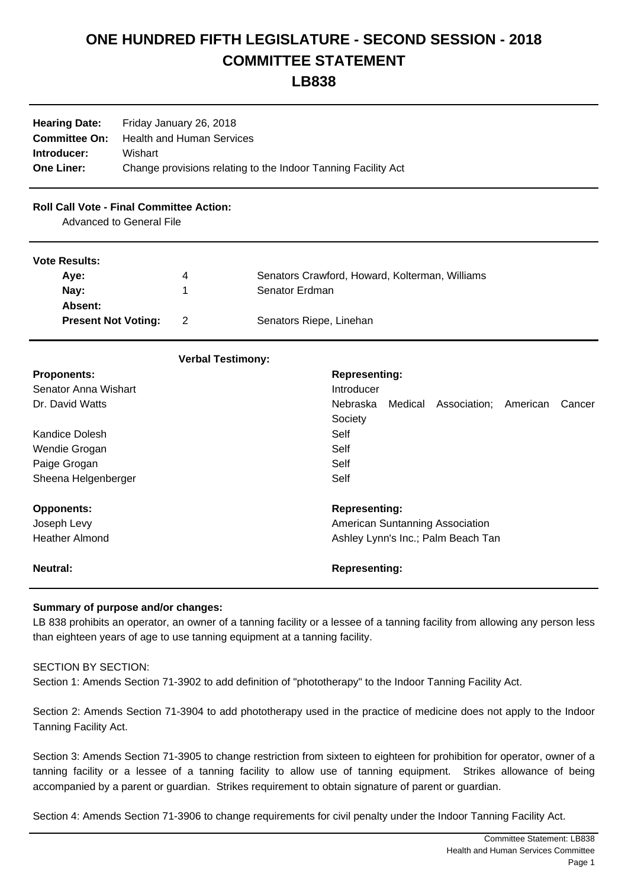## **ONE HUNDRED FIFTH LEGISLATURE - SECOND SESSION - 2018 COMMITTEE STATEMENT**

## **LB838**

| <b>Hearing Date:</b><br><b>Committee On:</b><br>Introducer:<br><b>One Liner:</b> | Friday January 26, 2018<br><b>Health and Human Services</b><br>Wishart<br>Change provisions relating to the Indoor Tanning Facility Act |                          |                                                |                                    |         |              |          |        |
|----------------------------------------------------------------------------------|-----------------------------------------------------------------------------------------------------------------------------------------|--------------------------|------------------------------------------------|------------------------------------|---------|--------------|----------|--------|
| <b>Roll Call Vote - Final Committee Action:</b>                                  | <b>Advanced to General File</b>                                                                                                         |                          |                                                |                                    |         |              |          |        |
| <b>Vote Results:</b>                                                             |                                                                                                                                         |                          |                                                |                                    |         |              |          |        |
| Aye:<br>4                                                                        |                                                                                                                                         |                          | Senators Crawford, Howard, Kolterman, Williams |                                    |         |              |          |        |
| Nay:<br>1                                                                        |                                                                                                                                         | Senator Erdman           |                                                |                                    |         |              |          |        |
| Absent:                                                                          |                                                                                                                                         |                          |                                                |                                    |         |              |          |        |
| $\overline{2}$<br><b>Present Not Voting:</b>                                     |                                                                                                                                         |                          | Senators Riepe, Linehan                        |                                    |         |              |          |        |
|                                                                                  |                                                                                                                                         | <b>Verbal Testimony:</b> |                                                |                                    |         |              |          |        |
| <b>Proponents:</b>                                                               |                                                                                                                                         |                          |                                                | <b>Representing:</b>               |         |              |          |        |
| Senator Anna Wishart                                                             |                                                                                                                                         |                          |                                                | Introducer                         |         |              |          |        |
| Dr. David Watts                                                                  |                                                                                                                                         |                          |                                                | Nebraska                           | Medical | Association; | American | Cancer |
|                                                                                  |                                                                                                                                         |                          |                                                | Society                            |         |              |          |        |
| Kandice Dolesh                                                                   |                                                                                                                                         |                          |                                                | Self                               |         |              |          |        |
| Wendie Grogan                                                                    |                                                                                                                                         |                          |                                                | Self                               |         |              |          |        |
| Paige Grogan                                                                     |                                                                                                                                         |                          |                                                | Self                               |         |              |          |        |
| Sheena Helgenberger                                                              |                                                                                                                                         |                          |                                                | Self                               |         |              |          |        |
| <b>Opponents:</b>                                                                |                                                                                                                                         |                          |                                                | <b>Representing:</b>               |         |              |          |        |
| Joseph Levy                                                                      |                                                                                                                                         |                          |                                                | American Suntanning Association    |         |              |          |        |
| <b>Heather Almond</b>                                                            |                                                                                                                                         |                          |                                                | Ashley Lynn's Inc.; Palm Beach Tan |         |              |          |        |
| <b>Neutral:</b>                                                                  |                                                                                                                                         |                          | <b>Representing:</b>                           |                                    |         |              |          |        |

## **Summary of purpose and/or changes:**

LB 838 prohibits an operator, an owner of a tanning facility or a lessee of a tanning facility from allowing any person less than eighteen years of age to use tanning equipment at a tanning facility.

## SECTION BY SECTION:

Section 1: Amends Section 71-3902 to add definition of "phototherapy" to the Indoor Tanning Facility Act.

Section 2: Amends Section 71-3904 to add phototherapy used in the practice of medicine does not apply to the Indoor Tanning Facility Act.

Section 3: Amends Section 71-3905 to change restriction from sixteen to eighteen for prohibition for operator, owner of a tanning facility or a lessee of a tanning facility to allow use of tanning equipment. Strikes allowance of being accompanied by a parent or guardian. Strikes requirement to obtain signature of parent or guardian.

Section 4: Amends Section 71-3906 to change requirements for civil penalty under the Indoor Tanning Facility Act.